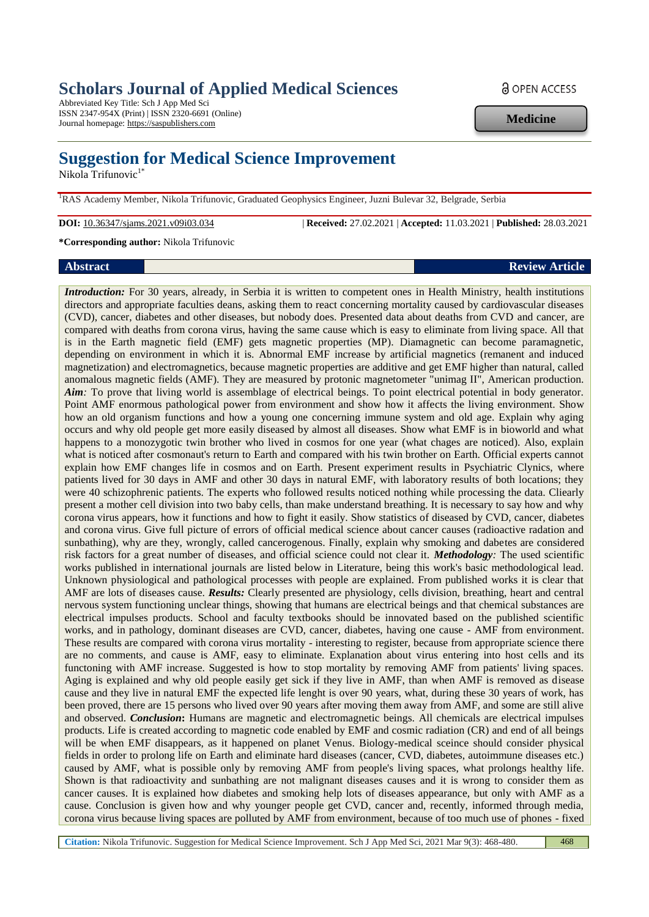# **Scholars Journal of Applied Medical Sciences**

Abbreviated Key Title: Sch J App Med Sci ISSN 2347-954X (Print) | ISSN 2320-6691 (Online) Journal homepage: https://saspublishers.com

# **Suggestion for Medical Science Improvement**

Nikola Trifunovic<sup>1\*</sup>

<sup>1</sup>RAS Academy Member, Nikola Trifunovic, Graduated Geophysics Engineer, Juzni Bulevar 32, Belgrade, Serbia

**DOI:** 10.36347/sjams.2021.v09i03.034 | **Received:** 27.02.2021 | **Accepted:** 11.03.2021 | **Published:** 28.03.2021

**\*Corresponding author:** Nikola Trifunovic

# **Abstract Review Article**

*Introduction:* For 30 years, already, in Serbia it is written to competent ones in Health Ministry, health institutions directors and appropriate faculties deans, asking them to react concerning mortality caused by cardiovascular diseases (CVD), cancer, diabetes and other diseases, but nobody does. Presented data about deaths from CVD and cancer, are compared with deaths from corona virus, having the same cause which is easy to eliminate from living space. All that is in the Earth magnetic field (EMF) gets magnetic properties (MP). Diamagnetic can become paramagnetic, depending on environment in which it is. Abnormal EMF increase by artificial magnetics (remanent and induced magnetization) and electromagnetics, because magnetic properties are additive and get EMF higher than natural, called anomalous magnetic fields (AMF). They are measured by protonic magnetometer "unimag II", American production. *Aim:* To prove that living world is assemblage of electrical beings. To point electrical potential in body generator. Point AMF enormous pathological power from environment and show how it affects the living environment. Show how an old organism functions and how a young one concerning immune system and old age. Explain why aging occurs and why old people get more easily diseased by almost all diseases. Show what EMF is in bioworld and what happens to a monozygotic twin brother who lived in cosmos for one year (what chages are noticed). Also, explain what is noticed after cosmonaut's return to Earth and compared with his twin brother on Earth. Official experts cannot explain how EMF changes life in cosmos and on Earth. Present experiment results in Psychiatric Clynics, where patients lived for 30 days in AMF and other 30 days in natural EMF, with laboratory results of both locations; they were 40 schizophrenic patients. The experts who followed results noticed nothing while processing the data. Cliearly present a mother cell division into two baby cells, than make understand breathing. It is necessary to say how and why corona virus appears, how it functions and how to fight it easily. Show statistics of diseased by CVD, cancer, diabetes and corona virus. Give full picture of errors of official medical science about cancer causes (radioactive radation and sunbathing), why are they, wrongly, called cancerogenous. Finally, explain why smoking and dabetes are considered risk factors for a great number of diseases, and official science could not clear it. *Methodology:* The used scientific works published in international journals are listed below in Literature, being this work's basic methodological lead. Unknown physiological and pathological processes with people are explained. From published works it is clear that AMF are lots of diseases cause. *Results:* Clearly presented are physiology, cells division, breathing, heart and central nervous system functioning unclear things, showing that humans are electrical beings and that chemical substances are electrical impulses products. School and faculty textbooks should be innovated based on the published scientific works, and in pathology, dominant diseases are CVD, cancer, diabetes, having one cause - AMF from environment. These results are compared with corona virus mortality - interesting to register, because from appropriate science there are no comments, and cause is AMF, easy to eliminate. Explanation about virus entering into host cells and its functoning with AMF increase. Suggested is how to stop mortality by removing AMF from patients' living spaces. Aging is explained and why old people easily get sick if they live in AMF, than when AMF is removed as disease cause and they live in natural EMF the expected life lenght is over 90 years, what, during these 30 years of work, has been proved, there are 15 persons who lived over 90 years after moving them away from AMF, and some are still alive and observed. *Conclusion*: Humans are magnetic and electromagnetic beings. All chemicals are electrical impulses products. Life is created according to magnetic code enabled by EMF and cosmic radiation (CR) and end of all beings will be when EMF disappears, as it happened on planet Venus. Biology-medical sceince should consider physical fields in order to prolong life on Earth and eliminate hard diseases (cancer, CVD, diabetes, autoimmune diseases etc.) caused by AMF, what is possible only by removing AMF from people's living spaces, what prolongs healthy life. Shown is that radioactivity and sunbathing are not malignant diseases causes and it is wrong to consider them as cancer causes. It is explained how diabetes and smoking help lots of diseases appearance, but only with AMF as a cause. Conclusion is given how and why younger people get CVD, cancer and, recently, informed through media, corona virus because living spaces are polluted by AMF from environment, because of too much use of phones - fixed

**Medicine**

**Citation:** Nikola Trifunovic. Suggestion for Medical Science Improvement. Sch J App Med Sci, 2021 Mar 9(3): 468-480. 468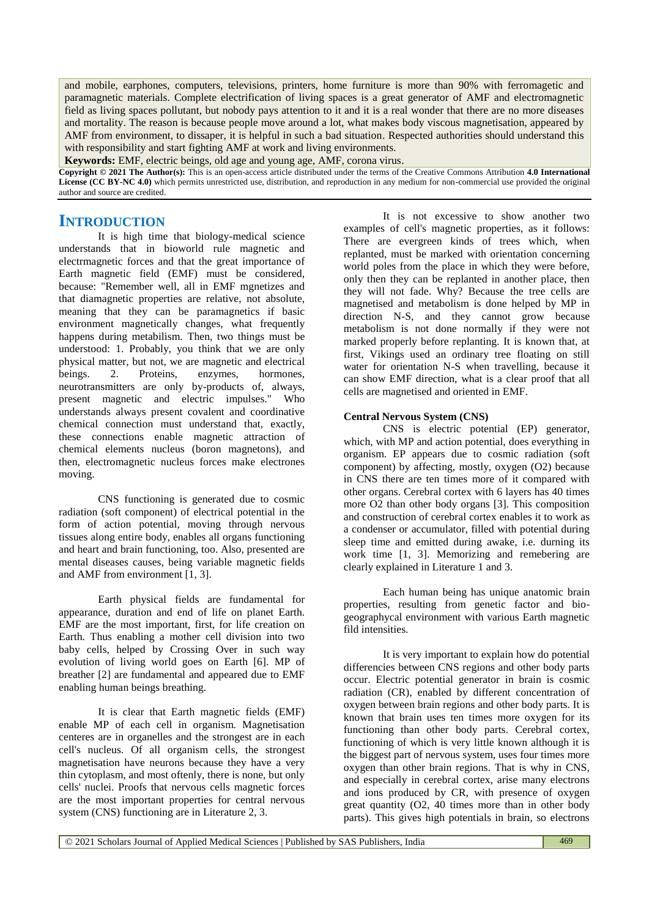and mobile, earphones, computers, televisions, printers, home furniture is more than 90% with ferromagetic and paramagnetic materials. Complete electrification of living spaces is a great generator of AMF and electromagnetic field as living spaces pollutant, but nobody pays attention to it and it is a real wonder that there are no more diseases and mortality. The reason is because people move around a lot, what makes body viscous magnetisation, appeared by AMF from environment, to dissaper, it is helpful in such a bad situation. Respected authorities should understand this with responsibility and start fighting AMF at work and living environments.

**Keywords:** EMF, electric beings, old age and young age, AMF, corona virus.

**Copyright © 2021 The Author(s):** This is an open-access article distributed under the terms of the Creative Commons Attribution **4.0 International License (CC BY-NC 4.0)** which permits unrestricted use, distribution, and reproduction in any medium for non-commercial use provided the original author and source are credited.

# **INTRODUCTION**

It is high time that biology-medical science understands that in bioworld rule magnetic and electrmagnetic forces and that the great importance of Earth magnetic field (EMF) must be considered, because: "Remember well, all in EMF mgnetizes and that diamagnetic properties are relative, not absolute, meaning that they can be paramagnetics if basic environment magnetically changes, what frequently happens during metabilism. Then, two things must be understood: 1. Probably, you think that we are only physical matter, but not, we are magnetic and electrical beings. 2. Proteins, enzymes, hormones, neurotransmitters are only by-products of, always, present magnetic and electric impulses." Who understands always present covalent and coordinative chemical connection must understand that, exactly, these connections enable magnetic attraction of chemical elements nucleus (boron magnetons), and then, electromagnetic nucleus forces make electrones moving.

CNS functioning is generated due to cosmic radiation (soft component) of electrical potential in the form of action potential, moving through nervous tissues along entire body, enables all organs functioning and heart and brain functioning, too. Also, presented are mental diseases causes, being variable magnetic fields and AMF from environment [1, 3].

Earth physical fields are fundamental for appearance, duration and end of life on planet Earth. EMF are the most important, first, for life creation on Earth. Thus enabling a mother cell division into two baby cells, helped by Crossing Over in such way evolution of living world goes on Earth [6]. MP of breather [2] are fundamental and appeared due to EMF enabling human beings breathing.

It is clear that Earth magnetic fields (EMF) enable MP of each cell in organism. Magnetisation centeres are in organelles and the strongest are in each cell's nucleus. Of all organism cells, the strongest magnetisation have neurons because they have a very thin cytoplasm, and most oftenly, there is none, but only cells' nuclei. Proofs that nervous cells magnetic forces are the most important properties for central nervous system (CNS) functioning are in Literature 2, 3.

It is not excessive to show another two examples of cell's magnetic properties, as it follows: There are evergreen kinds of trees which, when replanted, must be marked with orientation concerning world poles from the place in which they were before, only then they can be replanted in another place, then they will not fade. Why? Because the tree cells are magnetised and metabolism is done helped by MP in direction N-S, and they cannot grow because metabolism is not done normally if they were not marked properly before replanting. It is known that, at first, Vikings used an ordinary tree floating on still water for orientation N-S when travelling, because it can show EMF direction, what is a clear proof that all cells are magnetised and oriented in EMF.

# **Central Nervous System (CNS)**

CNS is electric potential (EP) generator, which, with MP and action potential, does everything in organism. EP appears due to cosmic radiation (soft component) by affecting, mostly, oxygen (O2) because in CNS there are ten times more of it compared with other organs. Cerebral cortex with 6 layers has 40 times more O2 than other body organs [3]. This composition and construction of cerebral cortex enables it to work as a condenser or accumulator, filled with potential during sleep time and emitted during awake, i.e. durning its work time [1, 3]. Memorizing and remebering are clearly explained in Literature 1 and 3.

Each human being has unique anatomic brain properties, resulting from genetic factor and biogeographycal environment with various Earth magnetic fild intensities.

It is very important to explain how do potential differencies between CNS regions and other body parts occur. Electric potential generator in brain is cosmic radiation (CR), enabled by different concentration of oxygen between brain regions and other body parts. It is known that brain uses ten times more oxygen for its functioning than other body parts. Cerebral cortex, functioning of which is very little known although it is the biggest part of nervous system, uses four times more oxygen than other brain regions. That is why in CNS, and especially in cerebral cortex, arise many electrons and ions produced by CR, with presence of oxygen great quantity (O2, 40 times more than in other body parts). This gives high potentials in brain, so electrons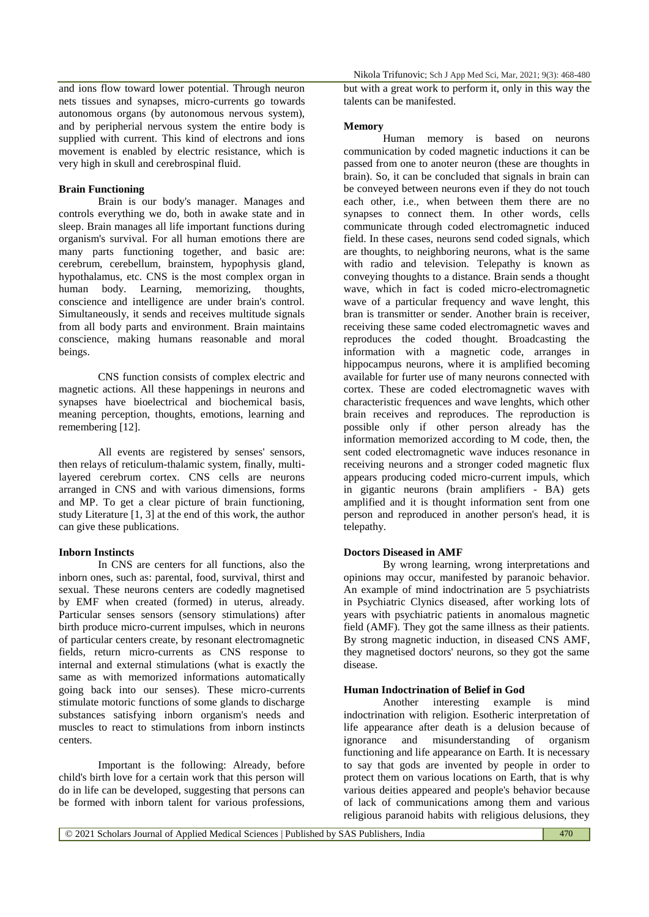and ions flow toward lower potential. Through neuron nets tissues and synapses, micro-currents go towards autonomous organs (by autonomous nervous system), and by peripherial nervous system the entire body is supplied with current. This kind of electrons and ions movement is enabled by electric resistance, which is very high in skull and cerebrospinal fluid.

## **Brain Functioning**

Brain is our body's manager. Manages and controls everything we do, both in awake state and in sleep. Brain manages all life important functions during organism's survival. For all human emotions there are many parts functioning together, and basic are: cerebrum, cerebellum, brainstem, hypophysis gland, hypothalamus, etc. CNS is the most complex organ in human body. Learning, memorizing, thoughts, conscience and intelligence are under brain's control. Simultaneously, it sends and receives multitude signals from all body parts and environment. Brain maintains conscience, making humans reasonable and moral beings.

CNS function consists of complex electric and magnetic actions. All these happenings in neurons and synapses have bioelectrical and biochemical basis, meaning perception, thoughts, emotions, learning and remembering [12].

All events are registered by senses' sensors, then relays of reticulum-thalamic system, finally, multilayered cerebrum cortex. CNS cells are neurons arranged in CNS and with various dimensions, forms and MP. To get a clear picture of brain functioning, study Literature [1, 3] at the end of this work, the author can give these publications.

#### **Inborn Instincts**

In CNS are centers for all functions, also the inborn ones, such as: parental, food, survival, thirst and sexual. These neurons centers are codedly magnetised by EMF when created (formed) in uterus, already. Particular senses sensors (sensory stimulations) after birth produce micro-current impulses, which in neurons of particular centers create, by resonant electromagnetic fields, return micro-currents as CNS response to internal and external stimulations (what is exactly the same as with memorized informations automatically going back into our senses). These micro-currents stimulate motoric functions of some glands to discharge substances satisfying inborn organism's needs and muscles to react to stimulations from inborn instincts centers.

Important is the following: Already, before child's birth love for a certain work that this person will do in life can be developed, suggesting that persons can be formed with inborn talent for various professions,

Nikola Trifunovic; Sch J App Med Sci, Mar, 2021; 9(3): 468-480

but with a great work to perform it, only in this way the talents can be manifested.

#### **Memory**

Human memory is based on neurons communication by coded magnetic inductions it can be passed from one to anoter neuron (these are thoughts in brain). So, it can be concluded that signals in brain can be conveyed between neurons even if they do not touch each other, i.e., when between them there are no synapses to connect them. In other words, cells communicate through coded electromagnetic induced field. In these cases, neurons send coded signals, which are thoughts, to neighboring neurons, what is the same with radio and television. Telepathy is known as conveying thoughts to a distance. Brain sends a thought wave, which in fact is coded micro-electromagnetic wave of a particular frequency and wave lenght, this bran is transmitter or sender. Another brain is receiver, receiving these same coded electromagnetic waves and reproduces the coded thought. Broadcasting the information with a magnetic code, arranges in hippocampus neurons, where it is amplified becoming available for furter use of many neurons connected with cortex. These are coded electromagnetic waves with characteristic frequences and wave lenghts, which other brain receives and reproduces. The reproduction is possible only if other person already has the information memorized according to M code, then, the sent coded electromagnetic wave induces resonance in receiving neurons and a stronger coded magnetic flux appears producing coded micro-current impuls, which in gigantic neurons (brain amplifiers - BA) gets amplified and it is thought information sent from one person and reproduced in another person's head, it is telepathy.

# **Doctors Diseased in AMF**

By wrong learning, wrong interpretations and opinions may occur, manifested by paranoic behavior. An example of mind indoctrination are 5 psychiatrists in Psychiatric Clynics diseased, after working lots of years with psychiatric patients in anomalous magnetic field (AMF). They got the same illness as their patients. By strong magnetic induction, in diseased CNS AMF, they magnetised doctors' neurons, so they got the same disease.

#### **Human Indoctrination of Belief in God**

Another interesting example is mind indoctrination with religion. Esotheric interpretation of life appearance after death is a delusion because of ignorance and misunderstanding of organism functioning and life appearance on Earth. It is necessary to say that gods are invented by people in order to protect them on various locations on Earth, that is why various deities appeared and people's behavior because of lack of communications among them and various religious paranoid habits with religious delusions, they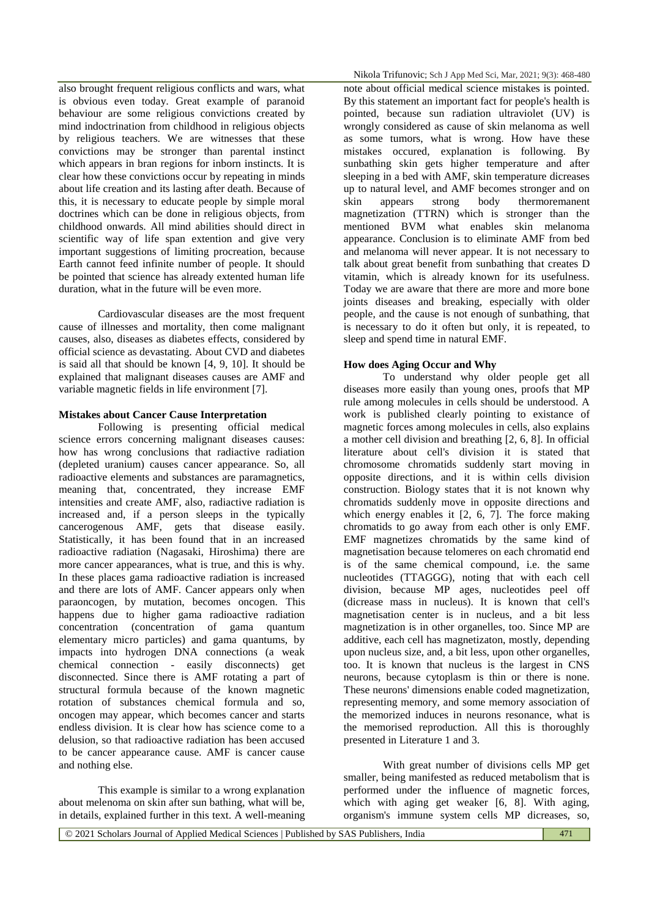also brought frequent religious conflicts and wars, what is obvious even today. Great example of paranoid behaviour are some religious convictions created by mind indoctrination from childhood in religious objects by religious teachers. We are witnesses that these convictions may be stronger than parental instinct which appears in bran regions for inborn instincts. It is clear how these convictions occur by repeating in minds about life creation and its lasting after death. Because of this, it is necessary to educate people by simple moral doctrines which can be done in religious objects, from childhood onwards. All mind abilities should direct in scientific way of life span extention and give very important suggestions of limiting procreation, because Earth cannot feed infinite number of people. It should be pointed that science has already extented human life duration, what in the future will be even more.

Cardiovascular diseases are the most frequent cause of illnesses and mortality, then come malignant causes, also, diseases as diabetes effects, considered by official science as devastating. About CVD and diabetes is said all that should be known [4, 9, 10]. It should be explained that malignant diseases causes are AMF and variable magnetic fields in life environment [7].

### **Mistakes about Cancer Cause Interpretation**

Following is presenting official medical science errors concerning malignant diseases causes: how has wrong conclusions that radiactive radiation (depleted uranium) causes cancer appearance. So, all radioactive elements and substances are paramagnetics, meaning that, concentrated, they increase EMF intensities and create AMF, also, radiactive radiation is increased and, if a person sleeps in the typically cancerogenous AMF, gets that disease easily. Statistically, it has been found that in an increased radioactive radiation (Nagasaki, Hiroshima) there are more cancer appearances, what is true, and this is why. In these places gama radioactive radiation is increased and there are lots of AMF. Cancer appears only when paraoncogen, by mutation, becomes oncogen. This happens due to higher gama radioactive radiation concentration (concentration of gama quantum elementary micro particles) and gama quantums, by impacts into hydrogen DNA connections (a weak chemical connection - easily disconnects) get disconnected. Since there is AMF rotating a part of structural formula because of the known magnetic rotation of substances chemical formula and so, oncogen may appear, which becomes cancer and starts endless division. It is clear how has science come to a delusion, so that radioactive radiation has been accused to be cancer appearance cause. AMF is cancer cause and nothing else.

This example is similar to a wrong explanation about melenoma on skin after sun bathing, what will be, in details, explained further in this text. A well-meaning

Nikola Trifunovic; Sch J App Med Sci, Mar, 2021; 9(3): 468-480

note about official medical science mistakes is pointed. By this statement an important fact for people's health is pointed, because sun radiation ultraviolet (UV) is wrongly considered as cause of skin melanoma as well as some tumors, what is wrong. How have these mistakes occured, explanation is following. By sunbathing skin gets higher temperature and after sleeping in a bed with AMF, skin temperature dicreases up to natural level, and AMF becomes stronger and on skin appears strong body thermoremanent magnetization (TTRN) which is stronger than the mentioned BVM what enables skin melanoma appearance. Conclusion is to eliminate AMF from bed and melanoma will never appear. It is not necessary to talk about great benefit from sunbathing that creates D vitamin, which is already known for its usefulness. Today we are aware that there are more and more bone joints diseases and breaking, especially with older people, and the cause is not enough of sunbathing, that is necessary to do it often but only, it is repeated, to sleep and spend time in natural EMF.

#### **How does Aging Occur and Why**

To understand why older people get all diseases more easily than young ones, proofs that MP rule among molecules in cells should be understood. A work is published clearly pointing to existance of magnetic forces among molecules in cells, also explains a mother cell division and breathing [2, 6, 8]. In official literature about cell's division it is stated that chromosome chromatids suddenly start moving in opposite directions, and it is within cells division construction. Biology states that it is not known why chromatids suddenly move in opposite directions and which energy enables it [2, 6, 7]. The force making chromatids to go away from each other is only EMF. EMF magnetizes chromatids by the same kind of magnetisation because telomeres on each chromatid end is of the same chemical compound, i.e. the same nucleotides (TTAGGG), noting that with each cell division, because MP ages, nucleotides peel off (dicrease mass in nucleus). It is known that cell's magnetisation center is in nucleus, and a bit less magnetization is in other organelles, too. Since MP are additive, each cell has magnetizaton, mostly, depending upon nucleus size, and, a bit less, upon other organelles, too. It is known that nucleus is the largest in CNS neurons, because cytoplasm is thin or there is none. These neurons' dimensions enable coded magnetization, representing memory, and some memory association of the memorized induces in neurons resonance, what is the memorised reproduction. All this is thoroughly presented in Literature 1 and 3.

With great number of divisions cells MP get smaller, being manifested as reduced metabolism that is performed under the influence of magnetic forces, which with aging get weaker [6, 8]. With aging, organism's immune system cells MP dicreases, so,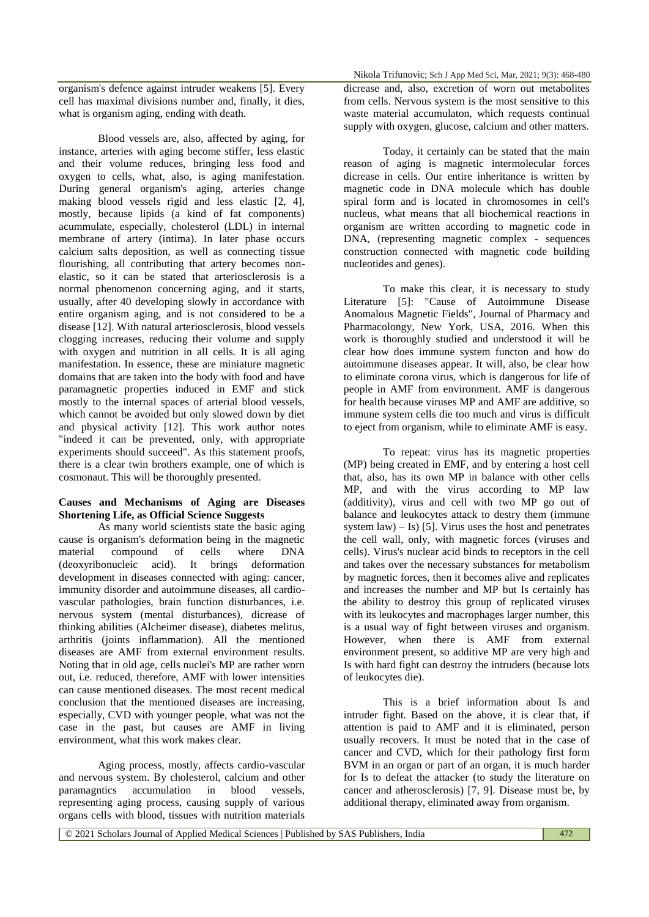organism's defence against intruder weakens [5]. Every cell has maximal divisions number and, finally, it dies, what is organism aging, ending with death.

Blood vessels are, also, affected by aging, for instance, arteries with aging become stiffer, less elastic and their volume reduces, bringing less food and oxygen to cells, what, also, is aging manifestation. During general organism's aging, arteries change making blood vessels rigid and less elastic  $[2, 4]$ , mostly, because lipids (a kind of fat components) acummulate, especially, cholesterol (LDL) in internal membrane of artery (intima). In later phase occurs calcium salts deposition, as well as connecting tissue flourishing, all contributing that artery becomes nonelastic, so it can be stated that arteriosclerosis is a normal phenomenon concerning aging, and it starts, usually, after 40 developing slowly in accordance with entire organism aging, and is not considered to be a disease [12]. With natural arteriosclerosis, blood vessels clogging increases, reducing their volume and supply with oxygen and nutrition in all cells. It is all aging manifestation. In essence, these are miniature magnetic domains that are taken into the body with food and have paramagnetic properties induced in EMF and stick mostly to the internal spaces of arterial blood vessels, which cannot be avoided but only slowed down by diet and physical activity [12]. This work author notes "indeed it can be prevented, only, with appropriate experiments should succeed". As this statement proofs, there is a clear twin brothers example, one of which is cosmonaut. This will be thoroughly presented.

# **Causes and Mechanisms of Aging are Diseases Shortening Life, as Official Science Suggests**

As many world scientists state the basic aging cause is organism's deformation being in the magnetic material compound of cells where DNA (deoxyribonucleic acid). It brings deformation development in diseases connected with aging: cancer, immunity disorder and autoimmune diseases, all cardiovascular pathologies, brain function disturbances, i.e. nervous system (mental disturbances), dicrease of thinking abilities (Alcheimer disease), diabetes melitus, arthritis (joints inflammation). All the mentioned diseases are AMF from external environment results. Noting that in old age, cells nuclei's MP are rather worn out, i.e. reduced, therefore, AMF with lower intensities can cause mentioned diseases. The most recent medical conclusion that the mentioned diseases are increasing, especially, CVD with younger people, what was not the case in the past, but causes are AMF in living environment, what this work makes clear.

Aging process, mostly, affects cardio-vascular and nervous system. By cholesterol, calcium and other paramagntics accumulation in blood vessels, representing aging process, causing supply of various organs cells with blood, tissues with nutrition materials

dicrease and, also, excretion of worn out metabolites from cells. Nervous system is the most sensitive to this waste material accumulaton, which requests continual supply with oxygen, glucose, calcium and other matters.

Today, it certainly can be stated that the main reason of aging is magnetic intermolecular forces dicrease in cells. Our entire inheritance is written by magnetic code in DNA molecule which has double spiral form and is located in chromosomes in cell's nucleus, what means that all biochemical reactions in organism are written according to magnetic code in DNA, (representing magnetic complex - sequences construction connected with magnetic code building nucleotides and genes).

To make this clear, it is necessary to study Literature [5]: "Cause of Autoimmune Disease Anomalous Magnetic Fields", Journal of Pharmacy and Pharmacolongy, New York, USA, 2016. When this work is thoroughly studied and understood it will be clear how does immune system functon and how do autoimmune diseases appear. It will, also, be clear how to eliminate corona virus, which is dangerous for life of people in AMF from environment. AMF is dangerous for health because viruses MP and AMF are additive, so immune system cells die too much and virus is difficult to eject from organism, while to eliminate AMF is easy.

To repeat: virus has its magnetic properties (MP) being created in EMF, and by entering a host cell that, also, has its own MP in balance with other cells MP, and with the virus according to MP law (additivity), virus and cell with two MP go out of balance and leukocytes attack to destry them (immune system  $law$ ) – Is) [5]. Virus uses the host and penetrates the cell wall, only, with magnetic forces (viruses and cells). Virus's nuclear acid binds to receptors in the cell and takes over the necessary substances for metabolism by magnetic forces, then it becomes alive and replicates and increases the number and MP but Is certainly has the ability to destroy this group of replicated viruses with its leukocytes and macrophages larger number, this is a usual way of fight between viruses and organism. However, when there is AMF from external environment present, so additive MP are very high and Is with hard fight can destroy the intruders (because lots of leukocytes die).

This is a brief information about Is and intruder fight. Based on the above, it is clear that, if attention is paid to AMF and it is eliminated, person usually recovers. It must be noted that in the case of cancer and CVD, which for their pathology first form BVM in an organ or part of an organ, it is much harder for Is to defeat the attacker (to study the literature on cancer and atherosclerosis) [7, 9]. Disease must be, by additional therapy, eliminated away from organism.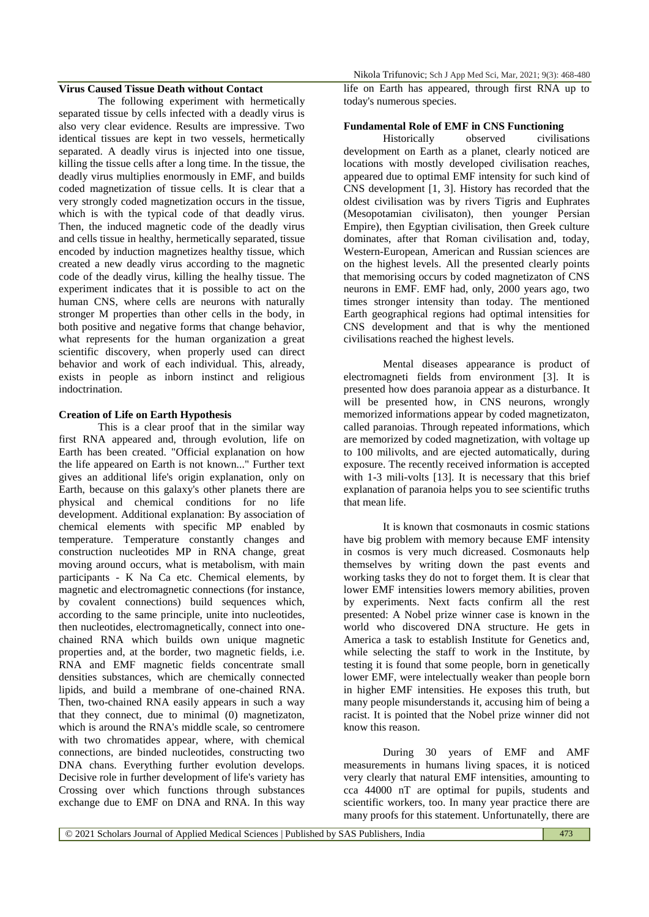# **Virus Caused Tissue Death without Contact**

The following experiment with hermetically separated tissue by cells infected with a deadly virus is also very clear evidence. Results are impressive. Two identical tissues are kept in two vessels, hermetically separated. A deadly virus is injected into one tissue, killing the tissue cells after a long time. In the tissue, the deadly virus multiplies enormously in EMF, and builds coded magnetization of tissue cells. It is clear that a very strongly coded magnetization occurs in the tissue, which is with the typical code of that deadly virus. Then, the induced magnetic code of the deadly virus and cells tissue in healthy, hermetically separated, tissue encoded by induction magnetizes healthy tissue, which created a new deadly virus according to the magnetic code of the deadly virus, killing the healhy tissue. The experiment indicates that it is possible to act on the human CNS, where cells are neurons with naturally stronger M properties than other cells in the body, in both positive and negative forms that change behavior, what represents for the human organization a great scientific discovery, when properly used can direct behavior and work of each individual. This, already, exists in people as inborn instinct and religious indoctrination.

#### **Creation of Life on Earth Hypothesis**

This is a clear proof that in the similar way first RNA appeared and, through evolution, life on Earth has been created. "Official explanation on how the life appeared on Earth is not known..." Further text gives an additional life's origin explanation, only on Earth, because on this galaxy's other planets there are physical and chemical conditions for no life development. Additional explanation: By association of chemical elements with specific MP enabled by temperature. Temperature constantly changes and construction nucleotides MP in RNA change, great moving around occurs, what is metabolism, with main participants - K Na Ca etc. Chemical elements, by magnetic and electromagnetic connections (for instance, by covalent connections) build sequences which, according to the same principle, unite into nucleotides, then nucleotides, electromagnetically, connect into onechained RNA which builds own unique magnetic properties and, at the border, two magnetic fields, i.e. RNA and EMF magnetic fields concentrate small densities substances, which are chemically connected lipids, and build a membrane of one-chained RNA. Then, two-chained RNA easily appears in such a way that they connect, due to minimal (0) magnetizaton, which is around the RNA's middle scale, so centromere with two chromatides appear, where, with chemical connections, are binded nucleotides, constructing two DNA chans. Everything further evolution develops. Decisive role in further development of life's variety has Crossing over which functions through substances exchange due to EMF on DNA and RNA. In this way

Nikola Trifunovic; Sch J App Med Sci, Mar, 2021; 9(3): 468-480

life on Earth has appeared, through first RNA up to today's numerous species.

#### **Fundamental Role of EMF in CNS Functioning**

Historically observed civilisations development on Earth as a planet, clearly noticed are locations with mostly developed civilisation reaches, appeared due to optimal EMF intensity for such kind of CNS development [1, 3]. History has recorded that the oldest civilisation was by rivers Tigris and Euphrates (Mesopotamian civilisaton), then younger Persian Empire), then Egyptian civilisation, then Greek culture dominates, after that Roman civilisation and, today, Western-European, American and Russian sciences are on the highest levels. All the presented clearly points that memorising occurs by coded magnetizaton of CNS neurons in EMF. EMF had, only, 2000 years ago, two times stronger intensity than today. The mentioned Earth geographical regions had optimal intensities for CNS development and that is why the mentioned civilisations reached the highest levels.

Mental diseases appearance is product of electromagneti fields from environment [3]. It is presented how does paranoia appear as a disturbance. It will be presented how, in CNS neurons, wrongly memorized informations appear by coded magnetizaton, called paranoias. Through repeated informations, which are memorized by coded magnetization, with voltage up to 100 milivolts, and are ejected automatically, during exposure. The recently received information is accepted with 1-3 mili-volts [13]. It is necessary that this brief explanation of paranoia helps you to see scientific truths that mean life.

It is known that cosmonauts in cosmic stations have big problem with memory because EMF intensity in cosmos is very much dicreased. Cosmonauts help themselves by writing down the past events and working tasks they do not to forget them. It is clear that lower EMF intensities lowers memory abilities, proven by experiments. Next facts confirm all the rest presented: A Nobel prize winner case is known in the world who discovered DNA structure. He gets in America a task to establish Institute for Genetics and, while selecting the staff to work in the Institute, by testing it is found that some people, born in genetically lower EMF, were intelectually weaker than people born in higher EMF intensities. He exposes this truth, but many people misunderstands it, accusing him of being a racist. It is pointed that the Nobel prize winner did not know this reason.

During 30 years of EMF and AMF measurements in humans living spaces, it is noticed very clearly that natural EMF intensities, amounting to cca 44000 nT are optimal for pupils, students and scientific workers, too. In many year practice there are many proofs for this statement. Unfortunatelly, there are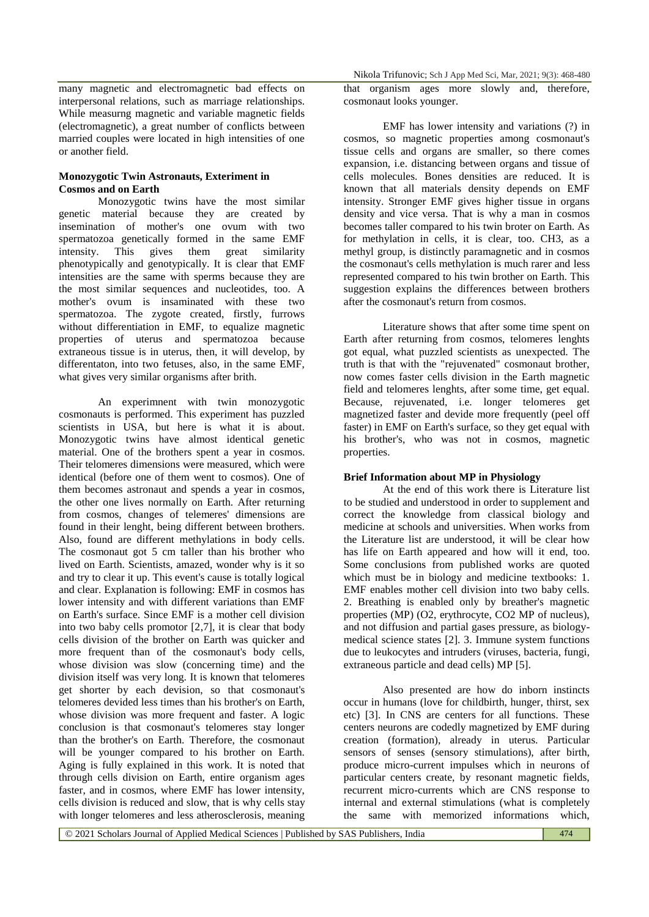many magnetic and electromagnetic bad effects on interpersonal relations, such as marriage relationships. While measurng magnetic and variable magnetic fields (electromagnetic), a great number of conflicts between married couples were located in high intensities of one or another field.

## **Monozygotic Twin Astronauts, Exteriment in Cosmos and on Earth**

Monozygotic twins have the most similar genetic material because they are created by insemination of mother's one ovum with two spermatozoa genetically formed in the same EMF intensity. This gives them great similarity phenotypically and genotypically. It is clear that EMF intensities are the same with sperms because they are the most similar sequences and nucleotides, too. A mother's ovum is insaminated with these two spermatozoa. The zygote created, firstly, furrows without differentiation in EMF, to equalize magnetic properties of uterus and spermatozoa because extraneous tissue is in uterus, then, it will develop, by differentaton, into two fetuses, also, in the same EMF, what gives very similar organisms after brith.

An experimnent with twin monozygotic cosmonauts is performed. This experiment has puzzled scientists in USA, but here is what it is about. Monozygotic twins have almost identical genetic material. One of the brothers spent a year in cosmos. Their telomeres dimensions were measured, which were identical (before one of them went to cosmos). One of them becomes astronaut and spends a year in cosmos, the other one lives normally on Earth. After returning from cosmos, changes of telemeres' dimensions are found in their lenght, being different between brothers. Also, found are different methylations in body cells. The cosmonaut got 5 cm taller than his brother who lived on Earth. Scientists, amazed, wonder why is it so and try to clear it up. This event's cause is totally logical and clear. Explanation is following: EMF in cosmos has lower intensity and with different variations than EMF on Earth's surface. Since EMF is a mother cell division into two baby cells promotor [2,7], it is clear that body cells division of the brother on Earth was quicker and more frequent than of the cosmonaut's body cells, whose division was slow (concerning time) and the division itself was very long. It is known that telomeres get shorter by each devision, so that cosmonaut's telomeres devided less times than his brother's on Earth, whose division was more frequent and faster. A logic conclusion is that cosmonaut's telomeres stay longer than the brother's on Earth. Therefore, the cosmonaut will be younger compared to his brother on Earth. Aging is fully explained in this work. It is noted that through cells division on Earth, entire organism ages faster, and in cosmos, where EMF has lower intensity, cells division is reduced and slow, that is why cells stay with longer telomeres and less atherosclerosis, meaning

that organism ages more slowly and, therefore, cosmonaut looks younger.

EMF has lower intensity and variations (?) in cosmos, so magnetic properties among cosmonaut's tissue cells and organs are smaller, so there comes expansion, i.e. distancing between organs and tissue of cells molecules. Bones densities are reduced. It is known that all materials density depends on EMF intensity. Stronger EMF gives higher tissue in organs density and vice versa. That is why a man in cosmos becomes taller compared to his twin broter on Earth. As for methylation in cells, it is clear, too. CH3, as a methyl group, is distinctly paramagnetic and in cosmos the cosmonaut's cells methylation is much rarer and less represented compared to his twin brother on Earth. This suggestion explains the differences between brothers after the cosmonaut's return from cosmos.

Literature shows that after some time spent on Earth after returning from cosmos, telomeres lenghts got equal, what puzzled scientists as unexpected. The truth is that with the "rejuvenated" cosmonaut brother, now comes faster cells division in the Earth magnetic field and telomeres lenghts, after some time, get equal. Because, rejuvenated, i.e. longer telomeres get magnetized faster and devide more frequently (peel off faster) in EMF on Earth's surface, so they get equal with his brother's, who was not in cosmos, magnetic properties.

### **Brief Information about MP in Physiology**

At the end of this work there is Literature list to be studied and understood in order to supplement and correct the knowledge from classical biology and medicine at schools and universities. When works from the Literature list are understood, it will be clear how has life on Earth appeared and how will it end, too. Some conclusions from published works are quoted which must be in biology and medicine textbooks: 1. EMF enables mother cell division into two baby cells. 2. Breathing is enabled only by breather's magnetic properties (MP) (O2, erythrocyte, CO2 MP of nucleus), and not diffusion and partial gases pressure, as biologymedical science states [2]. 3. Immune system functions due to leukocytes and intruders (viruses, bacteria, fungi, extraneous particle and dead cells) MP [5].

Also presented are how do inborn instincts occur in humans (love for childbirth, hunger, thirst, sex etc) [3]. In CNS are centers for all functions. These centers neurons are codedly magnetized by EMF during creation (formation), already in uterus. Particular sensors of senses (sensory stimulations), after birth, produce micro-current impulses which in neurons of particular centers create, by resonant magnetic fields, recurrent micro-currents which are CNS response to internal and external stimulations (what is completely the same with memorized informations which,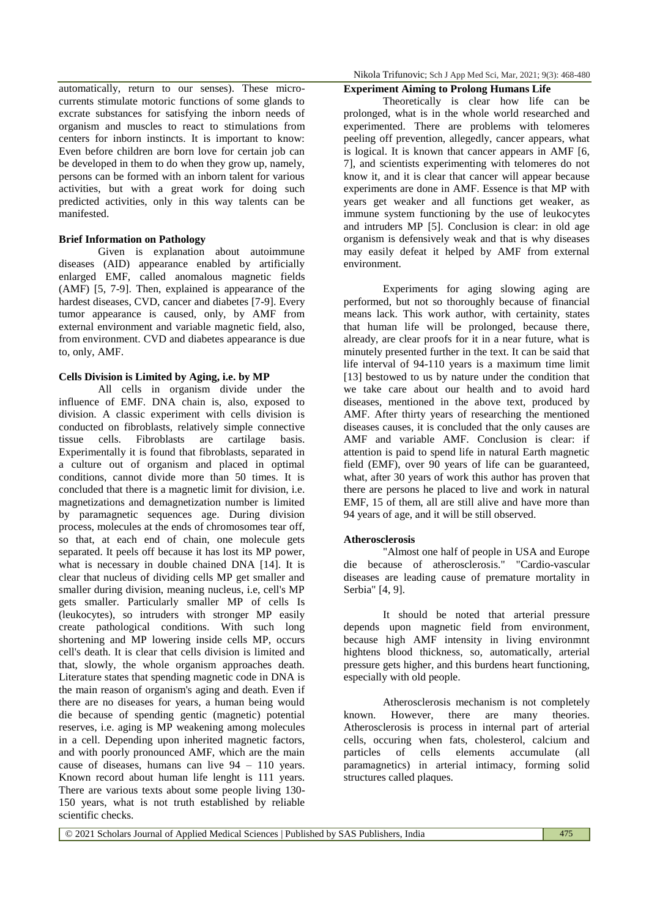automatically, return to our senses). These microcurrents stimulate motoric functions of some glands to excrate substances for satisfying the inborn needs of organism and muscles to react to stimulations from centers for inborn instincts. It is important to know: Even before children are born love for certain job can be developed in them to do when they grow up, namely, persons can be formed with an inborn talent for various activities, but with a great work for doing such predicted activities, only in this way talents can be manifested.

### **Brief Information on Pathology**

Given is explanation about autoimmune diseases (AID) appearance enabled by artificially enlarged EMF, called anomalous magnetic fields (AMF) [5, 7-9]. Then, explained is appearance of the hardest diseases, CVD, cancer and diabetes [7-9]. Every tumor appearance is caused, only, by AMF from external environment and variable magnetic field, also, from environment. CVD and diabetes appearance is due to, only, AMF.

# **Cells Division is Limited by Aging, i.e. by MP**

All cells in organism divide under the influence of EMF. DNA chain is, also, exposed to division. A classic experiment with cells division is conducted on fibroblasts, relatively simple connective tissue cells. Fibroblasts are cartilage basis. Experimentally it is found that fibroblasts, separated in a culture out of organism and placed in optimal conditions, cannot divide more than 50 times. It is concluded that there is a magnetic limit for division, i.e. magnetizations and demagnetization number is limited by paramagnetic sequences age. During division process, molecules at the ends of chromosomes tear off, so that, at each end of chain, one molecule gets separated. It peels off because it has lost its MP power, what is necessary in double chained DNA [14]. It is clear that nucleus of dividing cells MP get smaller and smaller during division, meaning nucleus, i.e, cell's MP gets smaller. Particularly smaller MP of cells Is (leukocytes), so intruders with stronger MP easily create pathological conditions. With such long shortening and MP lowering inside cells MP, occurs cell's death. It is clear that cells division is limited and that, slowly, the whole organism approaches death. Literature states that spending magnetic code in DNA is the main reason of organism's aging and death. Even if there are no diseases for years, a human being would die because of spending gentic (magnetic) potential reserves, i.e. aging is MP weakening among molecules in a cell. Depending upon inherited magnetic factors, and with poorly pronounced AMF, which are the main cause of diseases, humans can live 94 – 110 years. Known record about human life lenght is 111 years. There are various texts about some people living 130- 150 years, what is not truth established by reliable scientific checks.

Nikola Trifunovic; Sch J App Med Sci, Mar, 2021; 9(3): 468-480

# **Experiment Aiming to Prolong Humans Life**

Theoretically is clear how life can be prolonged, what is in the whole world researched and experimented. There are problems with telomeres peeling off prevention, allegedly, cancer appears, what is logical. It is known that cancer appears in AMF [6, 7], and scientists experimenting with telomeres do not know it, and it is clear that cancer will appear because experiments are done in AMF. Essence is that MP with years get weaker and all functions get weaker, as immune system functioning by the use of leukocytes and intruders MP [5]. Conclusion is clear: in old age organism is defensively weak and that is why diseases may easily defeat it helped by AMF from external environment.

Experiments for aging slowing aging are performed, but not so thoroughly because of financial means lack. This work author, with certainity, states that human life will be prolonged, because there, already, are clear proofs for it in a near future, what is minutely presented further in the text. It can be said that life interval of 94-110 years is a maximum time limit [13] bestowed to us by nature under the condition that we take care about our health and to avoid hard diseases, mentioned in the above text, produced by AMF. After thirty years of researching the mentioned diseases causes, it is concluded that the only causes are AMF and variable AMF. Conclusion is clear: if attention is paid to spend life in natural Earth magnetic field (EMF), over 90 years of life can be guaranteed, what, after 30 years of work this author has proven that there are persons he placed to live and work in natural EMF, 15 of them, all are still alive and have more than 94 years of age, and it will be still observed.

#### **Atherosclerosis**

"Almost one half of people in USA and Europe die because of atherosclerosis." "Cardio-vascular diseases are leading cause of premature mortality in Serbia" [4, 9].

It should be noted that arterial pressure depends upon magnetic field from environment, because high AMF intensity in living environmnt hightens blood thickness, so, automatically, arterial pressure gets higher, and this burdens heart functioning, especially with old people.

Atherosclerosis mechanism is not completely known. However, there are many theories. Atherosclerosis is process in internal part of arterial cells, occuring when fats, cholesterol, calcium and particles of cells elements accumulate (all paramagnetics) in arterial intimacy, forming solid structures called plaques.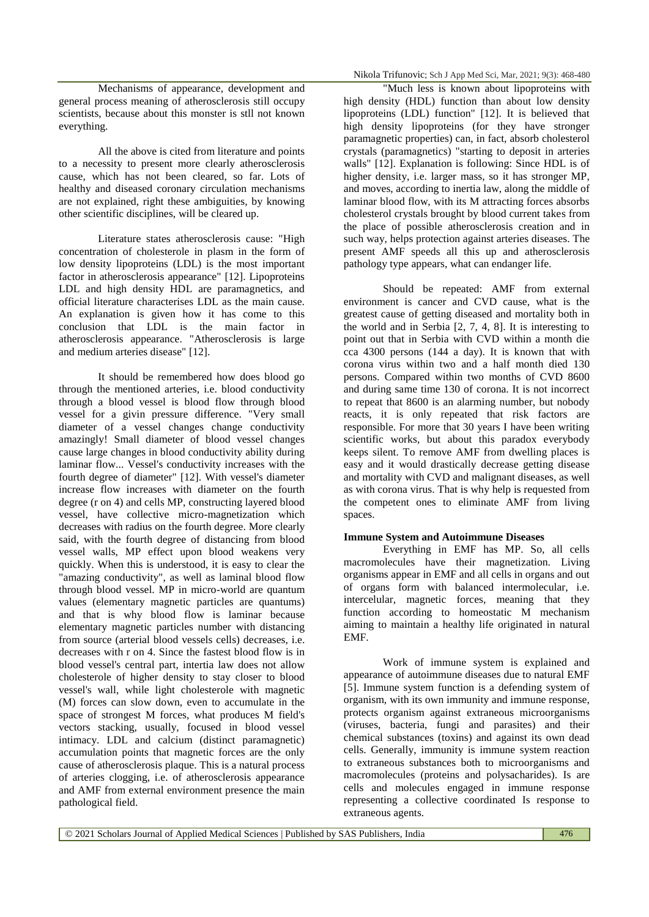Mechanisms of appearance, development and general process meaning of atherosclerosis still occupy scientists, because about this monster is stll not known everything.

All the above is cited from literature and points to a necessity to present more clearly atherosclerosis cause, which has not been cleared, so far. Lots of healthy and diseased coronary circulation mechanisms are not explained, right these ambiguities, by knowing other scientific disciplines, will be cleared up.

Literature states atherosclerosis cause: "High concentration of cholesterole in plasm in the form of low density lipoproteins (LDL) is the most important factor in atherosclerosis appearance" [12]. Lipoproteins LDL and high density HDL are paramagnetics, and official literature characterises LDL as the main cause. An explanation is given how it has come to this conclusion that LDL is the main factor in atherosclerosis appearance. "Atherosclerosis is large and medium arteries disease" [12].

It should be remembered how does blood go through the mentioned arteries, i.e. blood conductivity through a blood vessel is blood flow through blood vessel for a givin pressure difference. "Very small diameter of a vessel changes change conductivity amazingly! Small diameter of blood vessel changes cause large changes in blood conductivity ability during laminar flow... Vessel's conductivity increases with the fourth degree of diameter" [12]. With vessel's diameter increase flow increases with diameter on the fourth degree (r on 4) and cells MP, constructing layered blood vessel, have collective micro-magnetization which decreases with radius on the fourth degree. More clearly said, with the fourth degree of distancing from blood vessel walls, MP effect upon blood weakens very quickly. When this is understood, it is easy to clear the "amazing conductivity", as well as laminal blood flow through blood vessel. MP in micro-world are quantum values (elementary magnetic particles are quantums) and that is why blood flow is laminar because elementary magnetic particles number with distancing from source (arterial blood vessels cells) decreases, i.e. decreases with r on 4. Since the fastest blood flow is in blood vessel's central part, intertia law does not allow cholesterole of higher density to stay closer to blood vessel's wall, while light cholesterole with magnetic (M) forces can slow down, even to accumulate in the space of strongest M forces, what produces M field's vectors stacking, usually, focused in blood vessel intimacy. LDL and calcium (distinct paramagnetic) accumulation points that magnetic forces are the only cause of atherosclerosis plaque. This is a natural process of arteries clogging, i.e. of atherosclerosis appearance and AMF from external environment presence the main pathological field.

"Much less is known about lipoproteins with high density (HDL) function than about low density lipoproteins (LDL) function" [12]. It is believed that high density lipoproteins (for they have stronger paramagnetic properties) can, in fact, absorb cholesterol crystals (paramagnetics) "starting to deposit in arteries walls" [12]. Explanation is following: Since HDL is of higher density, i.e. larger mass, so it has stronger MP, and moves, according to inertia law, along the middle of laminar blood flow, with its M attracting forces absorbs cholesterol crystals brought by blood current takes from the place of possible atherosclerosis creation and in such way, helps protection against arteries diseases. The present AMF speeds all this up and atherosclerosis pathology type appears, what can endanger life.

Should be repeated: AMF from external environment is cancer and CVD cause, what is the greatest cause of getting diseased and mortality both in the world and in Serbia [2, 7, 4, 8]. It is interesting to point out that in Serbia with CVD within a month die cca 4300 persons (144 a day). It is known that with corona virus within two and a half month died 130 persons. Compared within two months of CVD 8600 and during same time 130 of corona. It is not incorrect to repeat that 8600 is an alarming number, but nobody reacts, it is only repeated that risk factors are responsible. For more that 30 years I have been writing scientific works, but about this paradox everybody keeps silent. To remove AMF from dwelling places is easy and it would drastically decrease getting disease and mortality with CVD and malignant diseases, as well as with corona virus. That is why help is requested from the competent ones to eliminate AMF from living spaces.

#### **Immune System and Autoimmune Diseases**

Everything in EMF has MP. So, all cells macromolecules have their magnetization. Living organisms appear in EMF and all cells in organs and out of organs form with balanced intermolecular, i.e. intercelular, magnetic forces, meaning that they function according to homeostatic M mechanism aiming to maintain a healthy life originated in natural EMF.

Work of immune system is explained and appearance of autoimmune diseases due to natural EMF [5]. Immune system function is a defending system of organism, with its own immunity and immune response, protects organism against extraneous microorganisms (viruses, bacteria, fungi and parasites) and their chemical substances (toxins) and against its own dead cells. Generally, immunity is immune system reaction to extraneous substances both to microorganisms and macromolecules (proteins and polysacharides). Is are cells and molecules engaged in immune response representing a collective coordinated Is response to extraneous agents.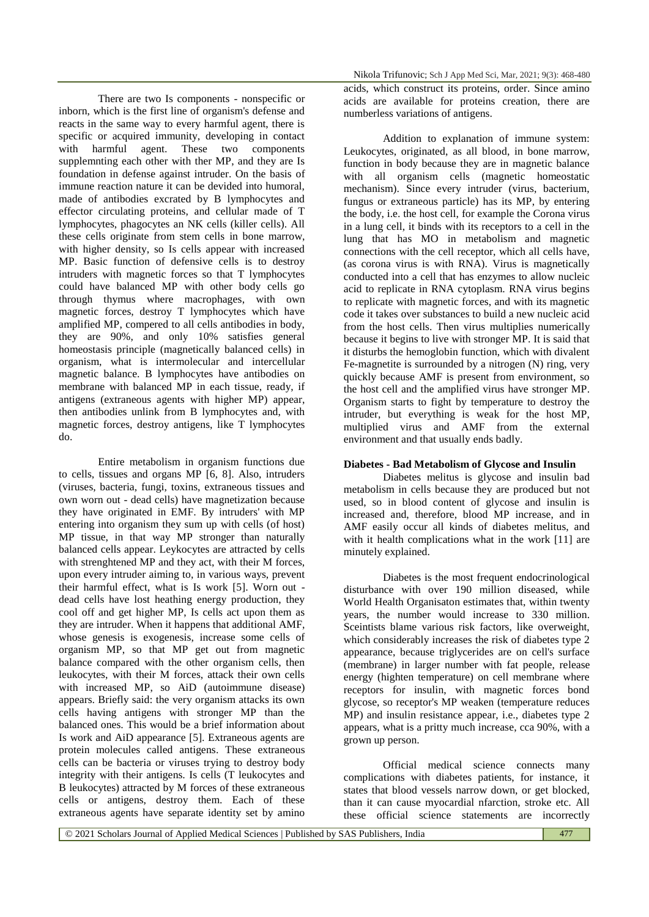There are two Is components - nonspecific or inborn, which is the first line of organism's defense and reacts in the same way to every harmful agent, there is specific or acquired immunity, developing in contact with harmful agent. These two components supplemnting each other with ther MP, and they are Is foundation in defense against intruder. On the basis of immune reaction nature it can be devided into humoral, made of antibodies excrated by B lymphocytes and effector circulating proteins, and cellular made of T lymphocytes, phagocytes an NK cells (killer cells). All these cells originate from stem cells in bone marrow, with higher density, so Is cells appear with increased MP. Basic function of defensive cells is to destroy intruders with magnetic forces so that T lymphocytes could have balanced MP with other body cells go through thymus where macrophages, with own magnetic forces, destroy T lymphocytes which have amplified MP, compered to all cells antibodies in body, they are 90%, and only 10% satisfies general homeostasis principle (magnetically balanced cells) in organism, what is intermolecular and intercellular magnetic balance. B lymphocytes have antibodies on membrane with balanced MP in each tissue, ready, if antigens (extraneous agents with higher MP) appear, then antibodies unlink from B lymphocytes and, with magnetic forces, destroy antigens, like T lymphocytes do.

Entire metabolism in organism functions due to cells, tissues and organs MP [6, 8]. Also, intruders (viruses, bacteria, fungi, toxins, extraneous tissues and own worn out - dead cells) have magnetization because they have originated in EMF. By intruders' with MP entering into organism they sum up with cells (of host) MP tissue, in that way MP stronger than naturally balanced cells appear. Leykocytes are attracted by cells with strenghtened MP and they act, with their M forces, upon every intruder aiming to, in various ways, prevent their harmful effect, what is Is work [5]. Worn out dead cells have lost heathing energy production, they cool off and get higher MP, Is cells act upon them as they are intruder. When it happens that additional AMF, whose genesis is exogenesis, increase some cells of organism MP, so that MP get out from magnetic balance compared with the other organism cells, then leukocytes, with their M forces, attack their own cells with increased MP, so AiD (autoimmune disease) appears. Briefly said: the very organism attacks its own cells having antigens with stronger MP than the balanced ones. This would be a brief information about Is work and AiD appearance [5]. Extraneous agents are protein molecules called antigens. These extraneous cells can be bacteria or viruses trying to destroy body integrity with their antigens. Is cells (T leukocytes and B leukocytes) attracted by M forces of these extraneous cells or antigens, destroy them. Each of these extraneous agents have separate identity set by amino

acids, which construct its proteins, order. Since amino acids are available for proteins creation, there are numberless variations of antigens.

Addition to explanation of immune system: Leukocytes, originated, as all blood, in bone marrow, function in body because they are in magnetic balance with all organism cells (magnetic homeostatic mechanism). Since every intruder (virus, bacterium, fungus or extraneous particle) has its MP, by entering the body, i.e. the host cell, for example the Corona virus in a lung cell, it binds with its receptors to a cell in the lung that has MO in metabolism and magnetic connections with the cell receptor, which all cells have, (as corona virus is with RNA). Virus is magnetically conducted into a cell that has enzymes to allow nucleic acid to replicate in RNA cytoplasm. RNA virus begins to replicate with magnetic forces, and with its magnetic code it takes over substances to build a new nucleic acid from the host cells. Then virus multiplies numerically because it begins to live with stronger MP. It is said that it disturbs the hemoglobin function, which with divalent Fe-magnetite is surrounded by a nitrogen (N) ring, very quickly because AMF is present from environment, so the host cell and the amplified virus have stronger MP. Organism starts to fight by temperature to destroy the intruder, but everything is weak for the host MP, multiplied virus and AMF from the external environment and that usually ends badly.

### **Diabetes - Bad Metabolism of Glycose and Insulin**

Diabetes melitus is glycose and insulin bad metabolism in cells because they are produced but not used, so in blood content of glycose and insulin is increased and, therefore, blood MP increase, and in AMF easily occur all kinds of diabetes melitus, and with it health complications what in the work [11] are minutely explained.

Diabetes is the most frequent endocrinological disturbance with over 190 million diseased, while World Health Organisaton estimates that, within twenty years, the number would increase to 330 million. Sceintists blame various risk factors, like overweight, which considerably increases the risk of diabetes type 2 appearance, because triglycerides are on cell's surface (membrane) in larger number with fat people, release energy (highten temperature) on cell membrane where receptors for insulin, with magnetic forces bond glycose, so receptor's MP weaken (temperature reduces MP) and insulin resistance appear, i.e., diabetes type 2 appears, what is a pritty much increase, cca 90%, with a grown up person.

Official medical science connects many complications with diabetes patients, for instance, it states that blood vessels narrow down, or get blocked, than it can cause myocardial nfarction, stroke etc. All these official science statements are incorrectly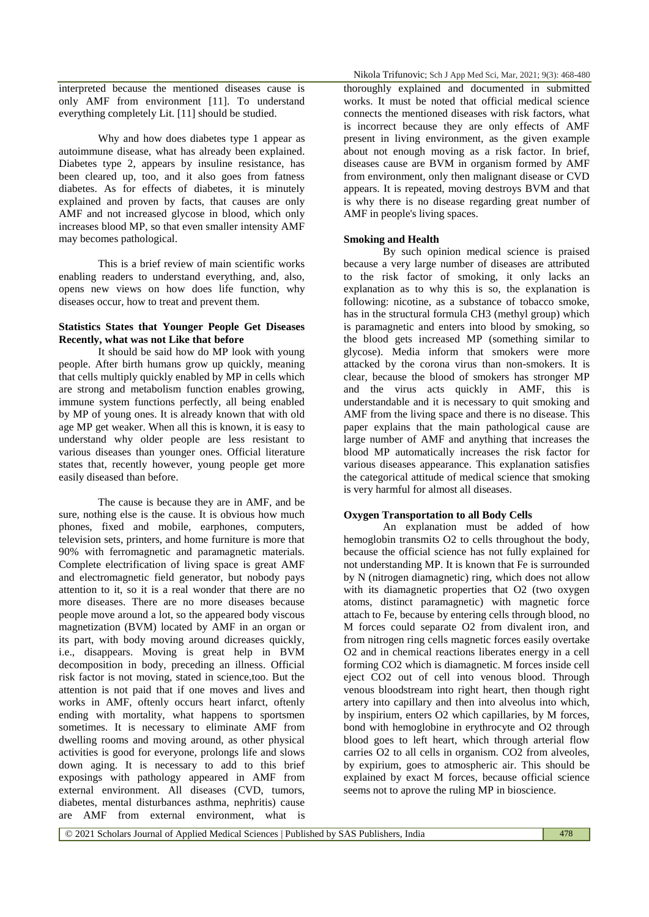interpreted because the mentioned diseases cause is only AMF from environment [11]. To understand everything completely Lit. [11] should be studied.

Why and how does diabetes type 1 appear as autoimmune disease, what has already been explained. Diabetes type 2, appears by insuline resistance, has been cleared up, too, and it also goes from fatness diabetes. As for effects of diabetes, it is minutely explained and proven by facts, that causes are only AMF and not increased glycose in blood, which only increases blood MP, so that even smaller intensity AMF may becomes pathological.

This is a brief review of main scientific works enabling readers to understand everything, and, also, opens new views on how does life function, why diseases occur, how to treat and prevent them.

# **Statistics States that Younger People Get Diseases Recently, what was not Like that before**

It should be said how do MP look with young people. After birth humans grow up quickly, meaning that cells multiply quickly enabled by MP in cells which are strong and metabolism function enables growing, immune system functions perfectly, all being enabled by MP of young ones. It is already known that with old age MP get weaker. When all this is known, it is easy to understand why older people are less resistant to various diseases than younger ones. Official literature states that, recently however, young people get more easily diseased than before.

The cause is because they are in AMF, and be sure, nothing else is the cause. It is obvious how much phones, fixed and mobile, earphones, computers, television sets, printers, and home furniture is more that 90% with ferromagnetic and paramagnetic materials. Complete electrification of living space is great AMF and electromagnetic field generator, but nobody pays attention to it, so it is a real wonder that there are no more diseases. There are no more diseases because people move around a lot, so the appeared body viscous magnetization (BVM) located by AMF in an organ or its part, with body moving around dicreases quickly, i.e., disappears. Moving is great help in BVM decomposition in body, preceding an illness. Official risk factor is not moving, stated in science,too. But the attention is not paid that if one moves and lives and works in AMF, oftenly occurs heart infarct, oftenly ending with mortality, what happens to sportsmen sometimes. It is necessary to eliminate AMF from dwelling rooms and moving around, as other physical activities is good for everyone, prolongs life and slows down aging. It is necessary to add to this brief exposings with pathology appeared in AMF from external environment. All diseases (CVD, tumors, diabetes, mental disturbances asthma, nephritis) cause are AMF from external environment, what is

thoroughly explained and documented in submitted works. It must be noted that official medical science connects the mentioned diseases with risk factors, what is incorrect because they are only effects of AMF present in living environment, as the given example about not enough moving as a risk factor. In brief, diseases cause are BVM in organism formed by AMF from environment, only then malignant disease or CVD appears. It is repeated, moving destroys BVM and that is why there is no disease regarding great number of AMF in people's living spaces.

## **Smoking and Health**

By such opinion medical science is praised because a very large number of diseases are attributed to the risk factor of smoking, it only lacks an explanation as to why this is so, the explanation is following: nicotine, as a substance of tobacco smoke, has in the structural formula CH3 (methyl group) which is paramagnetic and enters into blood by smoking, so the blood gets increased MP (something similar to glycose). Media inform that smokers were more attacked by the corona virus than non-smokers. It is clear, because the blood of smokers has stronger MP and the virus acts quickly in AMF, this is understandable and it is necessary to quit smoking and AMF from the living space and there is no disease. This paper explains that the main pathological cause are large number of AMF and anything that increases the blood MP automatically increases the risk factor for various diseases appearance. This explanation satisfies the categorical attitude of medical science that smoking is very harmful for almost all diseases.

# **Oxygen Transportation to all Body Cells**

An explanation must be added of how hemoglobin transmits O2 to cells throughout the body, because the official science has not fully explained for not understanding MP. It is known that Fe is surrounded by N (nitrogen diamagnetic) ring, which does not allow with its diamagnetic properties that O2 (two oxygen atoms, distinct paramagnetic) with magnetic force attach to Fe, because by entering cells through blood, no M forces could separate O2 from divalent iron, and from nitrogen ring cells magnetic forces easily overtake O2 and in chemical reactions liberates energy in a cell forming CO2 which is diamagnetic. M forces inside cell eject CO2 out of cell into venous blood. Through venous bloodstream into right heart, then though right artery into capillary and then into alveolus into which, by inspirium, enters O2 which capillaries, by M forces, bond with hemoglobine in erythrocyte and O2 through blood goes to left heart, which through arterial flow carries O2 to all cells in organism. CO2 from alveoles, by expirium, goes to atmospheric air. This should be explained by exact M forces, because official science seems not to aprove the ruling MP in bioscience.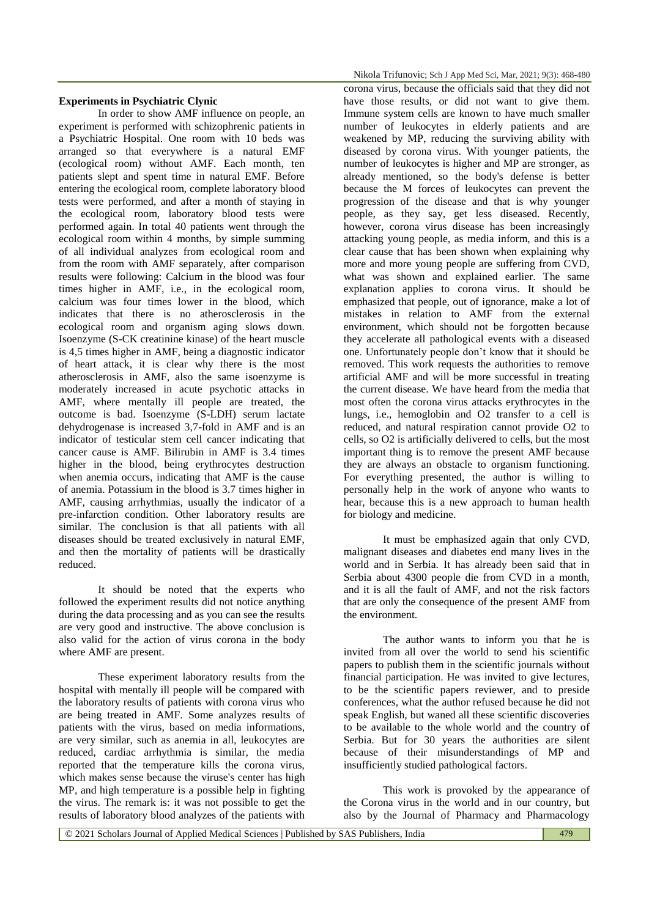# **Experiments in Psychiatric Clynic**

In order to show AMF influence on people, an experiment is performed with schizophrenic patients in a Psychiatric Hospital. One room with 10 beds was arranged so that everywhere is a natural EMF (ecological room) without AMF. Each month, ten patients slept and spent time in natural EMF. Before entering the ecological room, complete laboratory blood tests were performed, and after a month of staying in the ecological room, laboratory blood tests were performed again. In total 40 patients went through the ecological room within 4 months, by simple summing of all individual analyzes from ecological room and from the room with AMF separately, after comparison results were following: Calcium in the blood was four times higher in AMF, i.e., in the ecological room, calcium was four times lower in the blood, which indicates that there is no atherosclerosis in the ecological room and organism aging slows down. Isoenzyme (S-CK creatinine kinase) of the heart muscle is 4,5 times higher in AMF, being a diagnostic indicator of heart attack, it is clear why there is the most atherosclerosis in AMF, also the same isoenzyme is moderately increased in acute psychotic attacks in AMF, where mentally ill people are treated, the outcome is bad. Isoenzyme (S-LDH) serum lactate dehydrogenase is increased 3,7-fold in AMF and is an indicator of testicular stem cell cancer indicating that cancer cause is AMF. Bilirubin in AMF is 3.4 times higher in the blood, being erythrocytes destruction when anemia occurs, indicating that AMF is the cause of anemia. Potassium in the blood is 3.7 times higher in AMF, causing arrhythmias, usually the indicator of a pre-infarction condition. Other laboratory results are similar. The conclusion is that all patients with all diseases should be treated exclusively in natural EMF, and then the mortality of patients will be drastically reduced.

It should be noted that the experts who followed the experiment results did not notice anything during the data processing and as you can see the results are very good and instructive. The above conclusion is also valid for the action of virus corona in the body where AMF are present.

These experiment laboratory results from the hospital with mentally ill people will be compared with the laboratory results of patients with corona virus who are being treated in AMF. Some analyzes results of patients with the virus, based on media informations, are very similar, such as anemia in all, leukocytes are reduced, cardiac arrhythmia is similar, the media reported that the temperature kills the corona virus, which makes sense because the viruse's center has high MP, and high temperature is a possible help in fighting the virus. The remark is: it was not possible to get the results of laboratory blood analyzes of the patients with

corona virus, because the officials said that they did not have those results, or did not want to give them. Immune system cells are known to have much smaller number of leukocytes in elderly patients and are weakened by MP, reducing the surviving ability with diseased by corona virus. With younger patients, the number of leukocytes is higher and MP are stronger, as already mentioned, so the body's defense is better because the M forces of leukocytes can prevent the progression of the disease and that is why younger people, as they say, get less diseased. Recently, however, corona virus disease has been increasingly attacking young people, as media inform, and this is a clear cause that has been shown when explaining why more and more young people are suffering from CVD, what was shown and explained earlier. The same explanation applies to corona virus. It should be emphasized that people, out of ignorance, make a lot of mistakes in relation to AMF from the external environment, which should not be forgotten because they accelerate all pathological events with a diseased one. Unfortunately people don't know that it should be removed. This work requests the authorities to remove artificial AMF and will be more successful in treating the current disease. We have heard from the media that most often the corona virus attacks erythrocytes in the lungs, i.e., hemoglobin and O2 transfer to a cell is reduced, and natural respiration cannot provide O2 to cells, so O2 is artificially delivered to cells, but the most important thing is to remove the present AMF because they are always an obstacle to organism functioning. For everything presented, the author is willing to personally help in the work of anyone who wants to hear, because this is a new approach to human health for biology and medicine.

It must be emphasized again that only CVD, malignant diseases and diabetes end many lives in the world and in Serbia. It has already been said that in Serbia about 4300 people die from CVD in a month, and it is all the fault of AMF, and not the risk factors that are only the consequence of the present AMF from the environment.

The author wants to inform you that he is invited from all over the world to send his scientific papers to publish them in the scientific journals without financial participation. He was invited to give lectures, to be the scientific papers reviewer, and to preside conferences, what the author refused because he did not speak English, but waned all these scientific discoveries to be available to the whole world and the country of Serbia. But for 30 years the authorities are silent because of their misunderstandings of MP and insufficiently studied pathological factors.

This work is provoked by the appearance of the Corona virus in the world and in our country, but also by the Journal of Pharmacy and Pharmacology